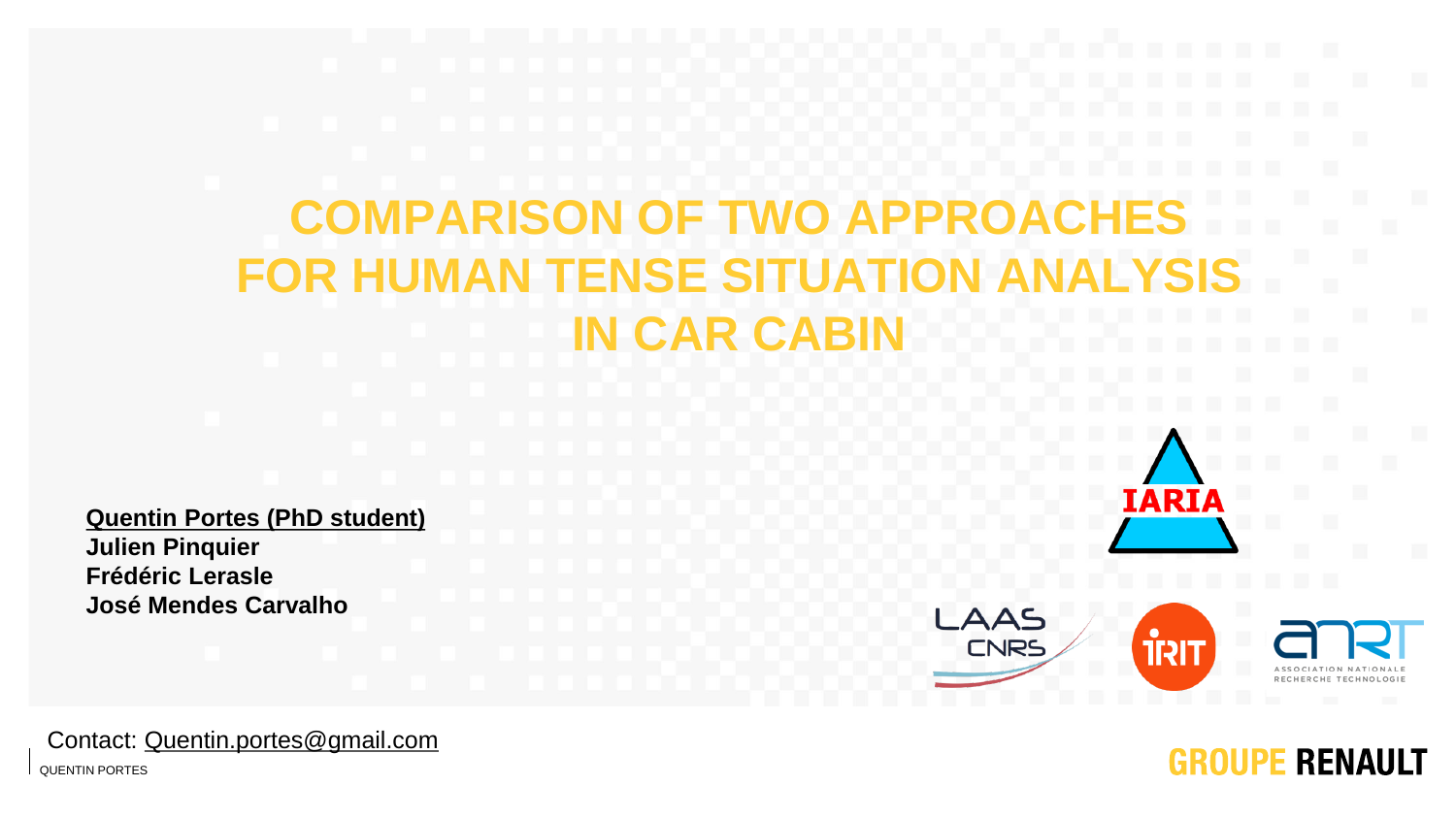# **COMPARISON OF TWO APPR FOR HUMAN TENSE SITUATIO IN CAR CAB**

**Quentin Portes (PhD student) Julien Pinquier Frédéric Lerasle José Mendes Carvalho**





**IARIA** 

RECHERCHE TECHNOLOGIE

**GROUPE RENAULT** 

Contact: [Quentin.portes@gmail.com](mailto:Quentin.portes@gmail.com)

QUENTIN PORTES 1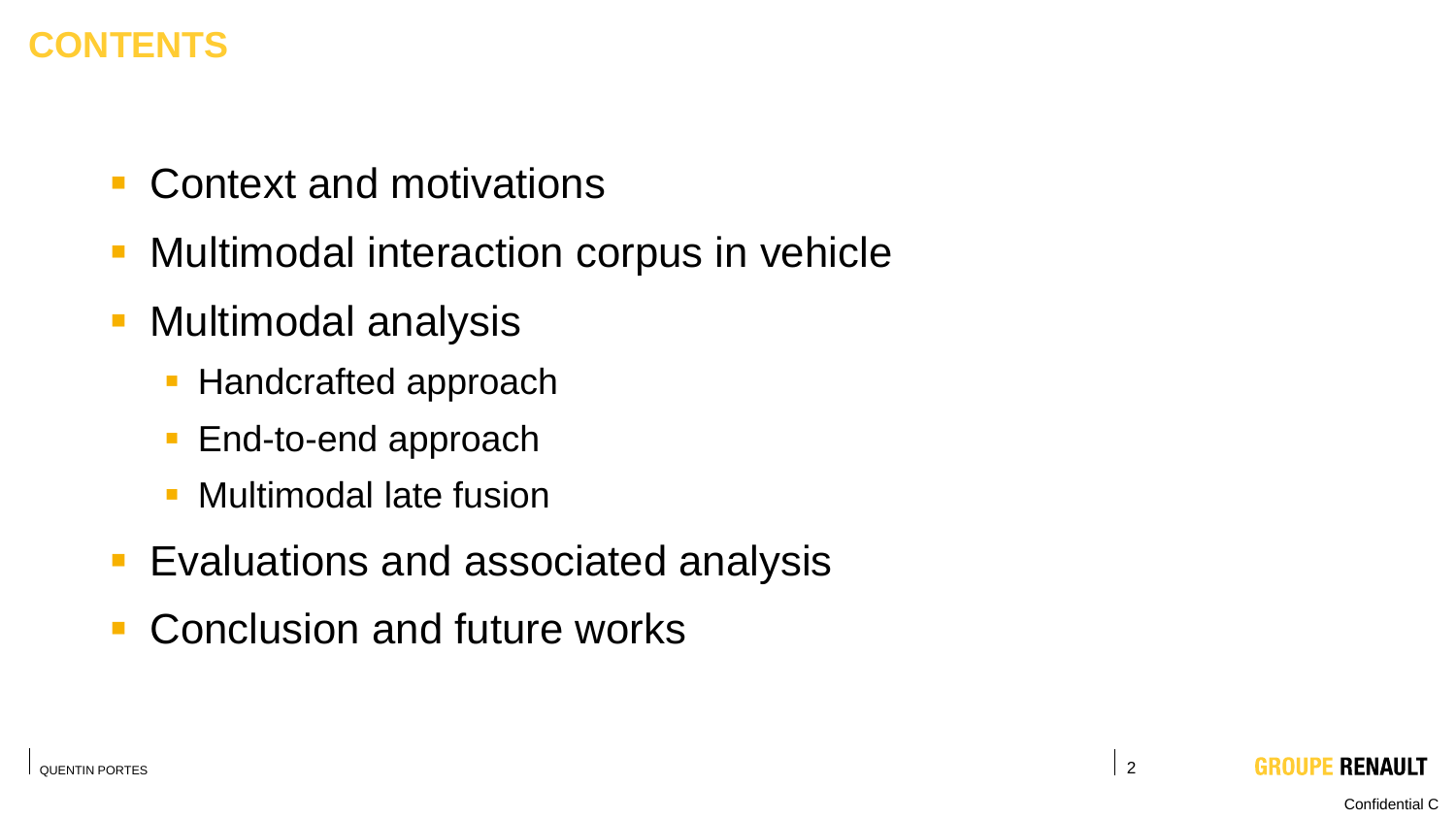### **CONTENTS**

- Context and motivations
- Multimodal interaction corpus in vehicle
- Multimodal analysis
	- **EXE** Handcrafted approach
	- End-to-end approach
	- **Multimodal late fusion**
- Evaluations and associated analysis
- Conclusion and future works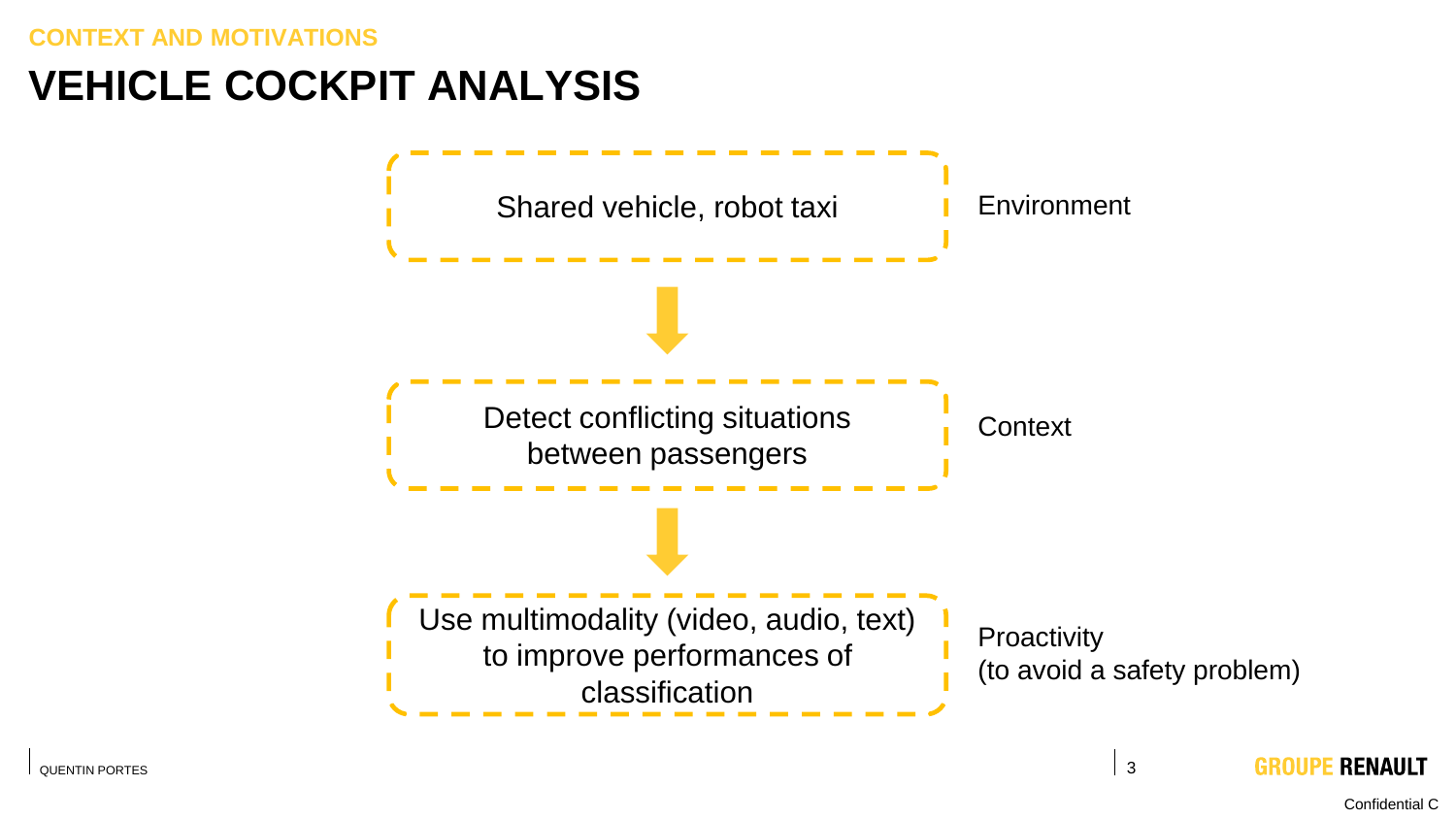**CONTEXT AND MOTIVATIONS**

### **VEHICLE COCKPIT ANALYSIS**

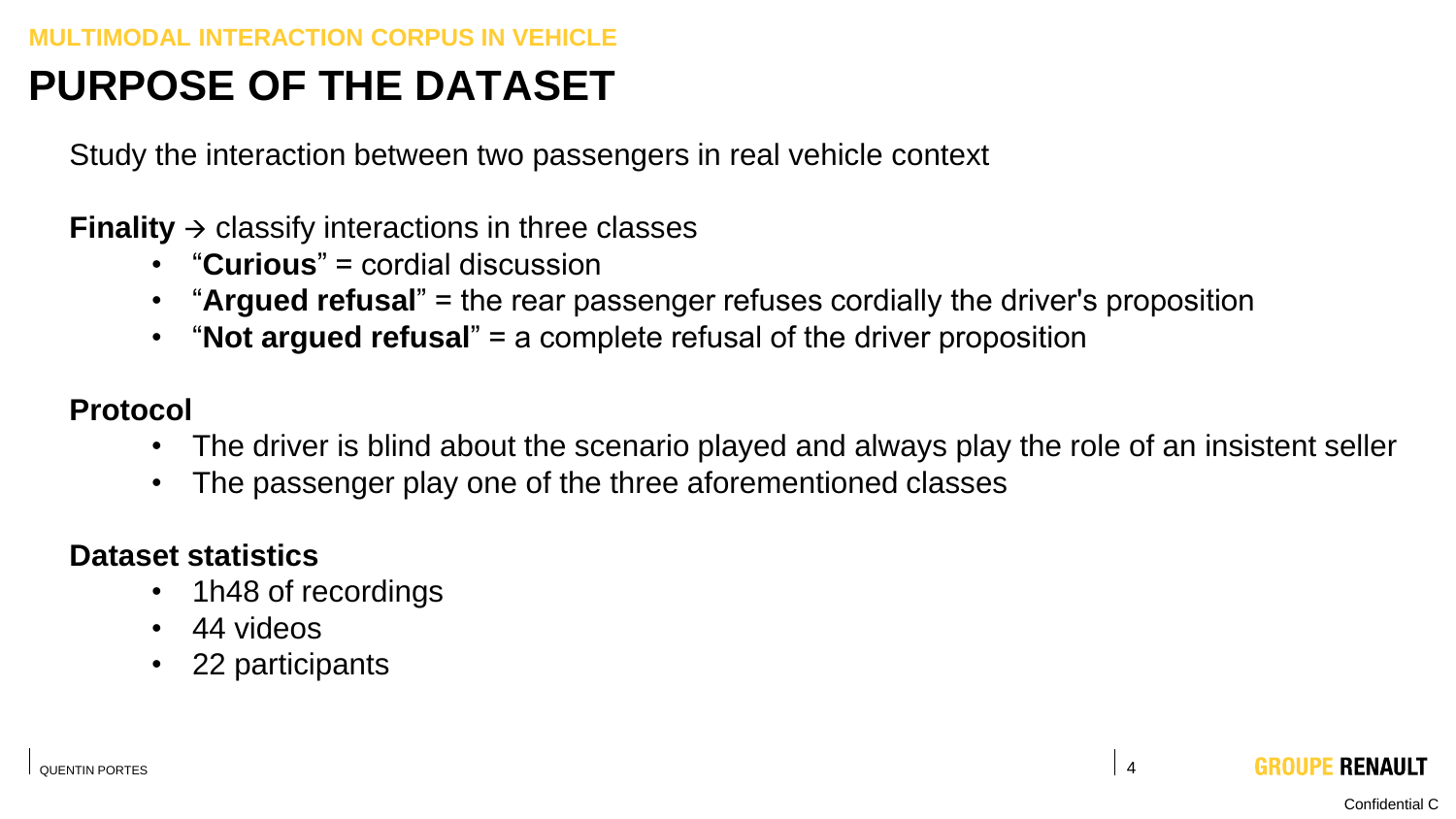# **PURPOSE OF THE DATASET**

Study the interaction between two passengers in real vehicle context

**Finality**  $\rightarrow$  classify interactions in three classes

- "**Curious**" = cordial discussion
- "**Argued refusal**" = the rear passenger refuses cordially the driver's proposition
- "**Not argued refusal**" = a complete refusal of the driver proposition

#### **Protocol**

- The driver is blind about the scenario played and always play the role of an insistent seller
- The passenger play one of the three aforementioned classes

#### **Dataset statistics**

- 1h48 of recordings
- 44 videos
- 22 participants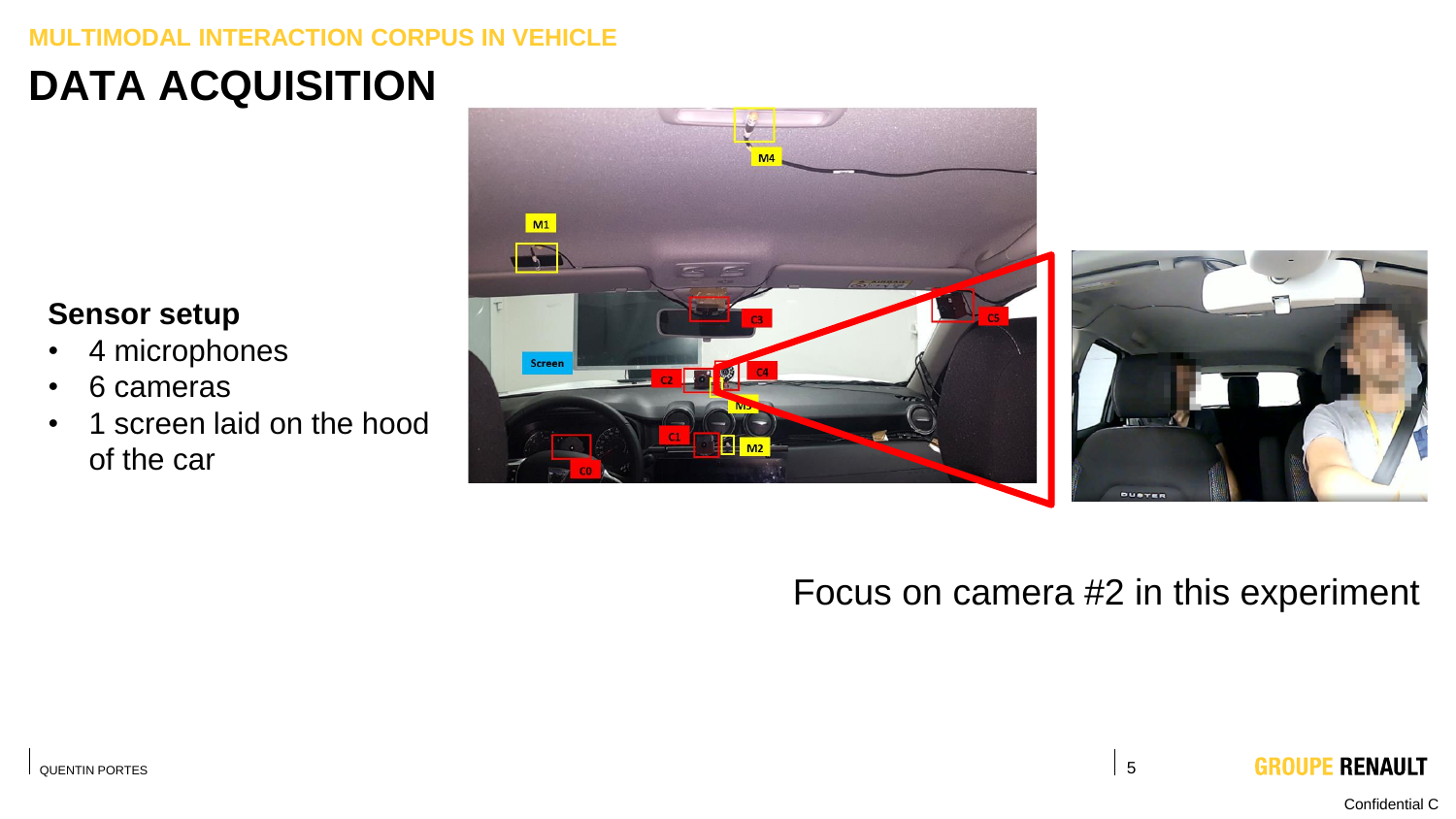#### **TIMODAL INTERACTION CORPUS IN VEHICLE**

# **DATA ACQUISITION**

#### **Sensor setup**

- 4 microphones
- 6 cameras
- 1 screen laid on the hood of the car





### Focus on camera #2 in this experiment

Confidential C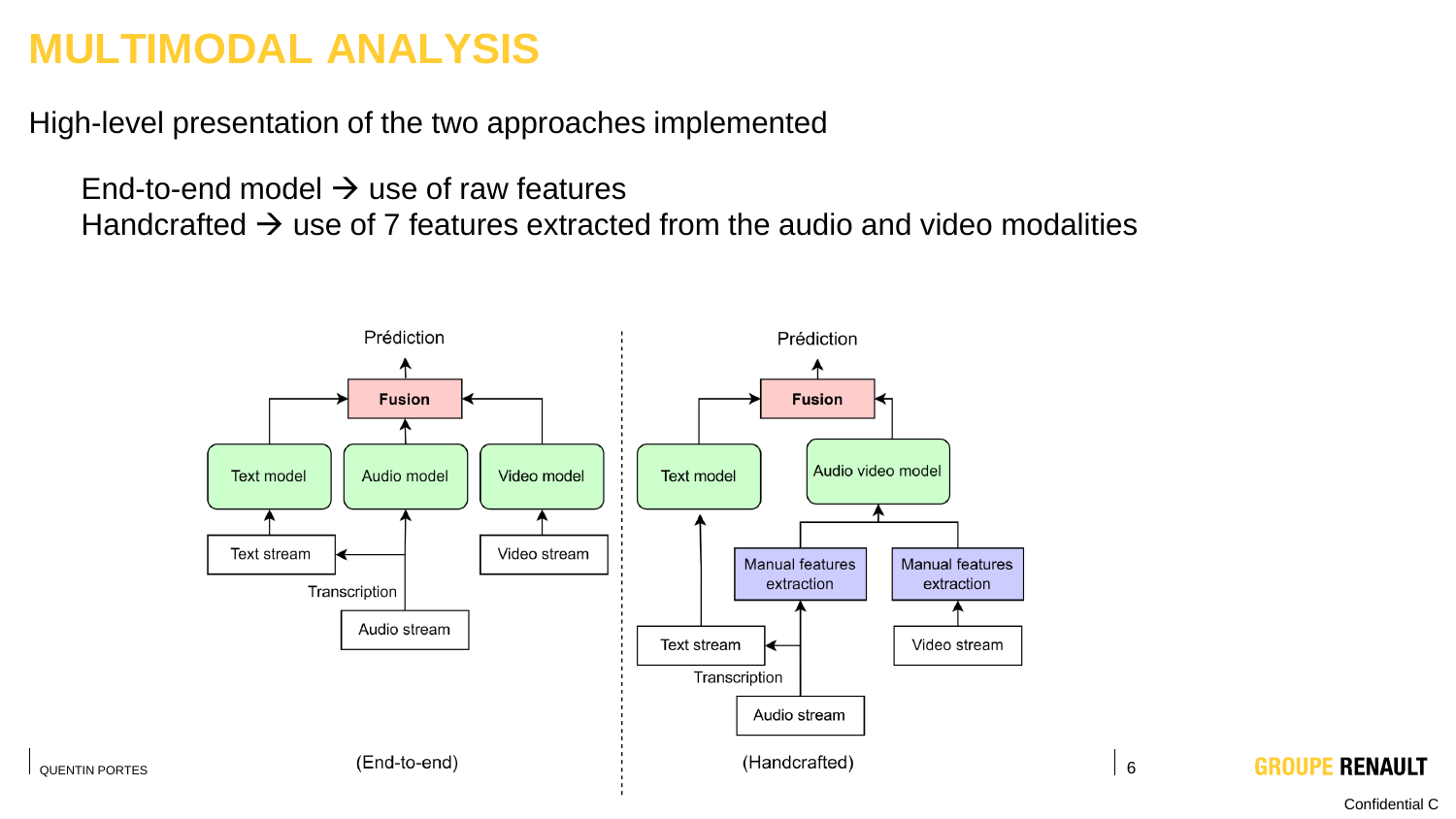### **MULTIMODAL ANALYSIS**

High-level presentation of the two approaches implemented

End-to-end model  $\rightarrow$  use of raw features Handcrafted  $\rightarrow$  use of 7 features extracted from the audio and video modalities

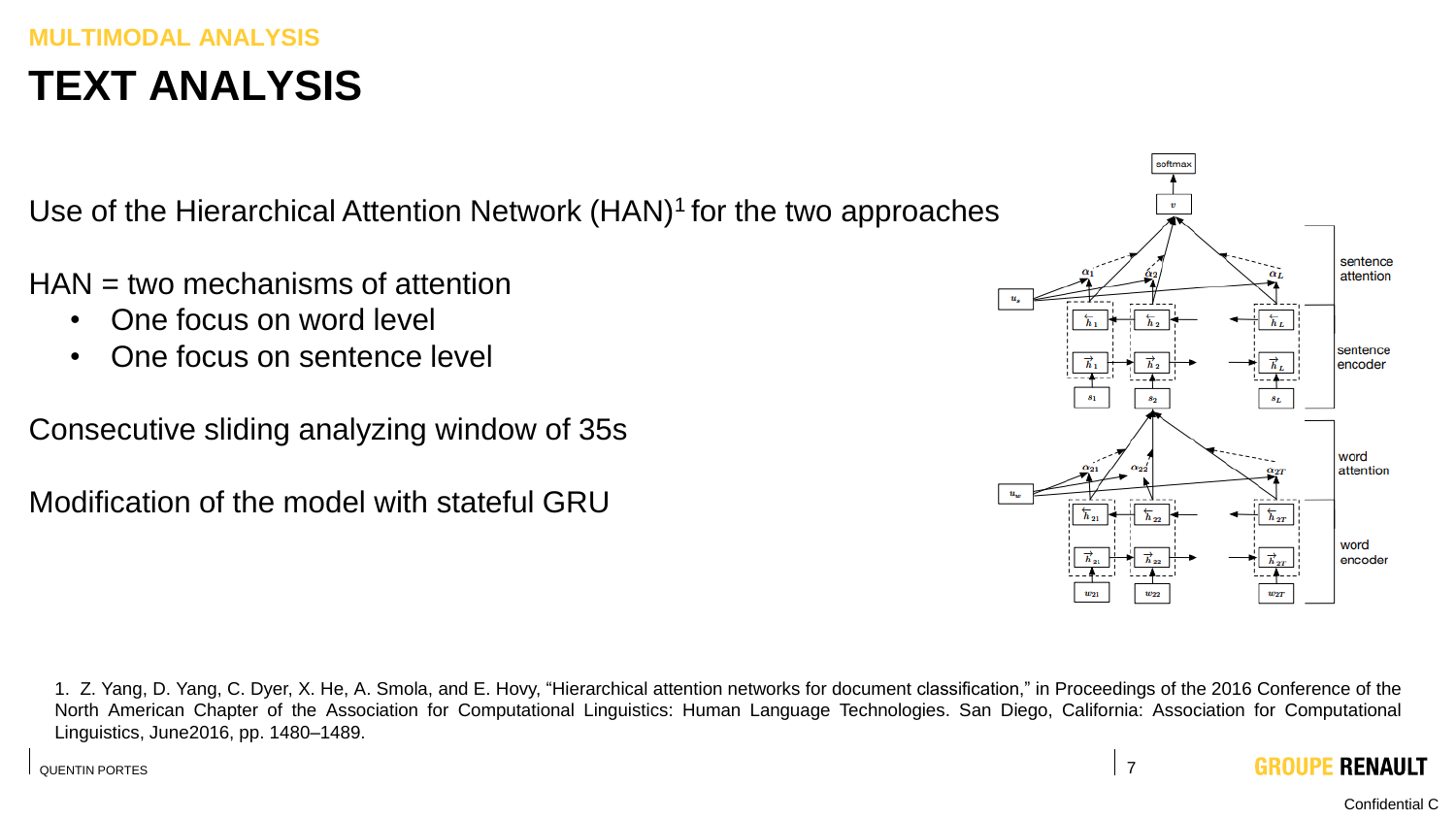#### **MULTIMODAL ANALYSIS TEXT ANALYSIS**

Use of the Hierarchical Attention Network  $(HAN)^1$  for the two approaches

- HAN = two mechanisms of attention
	- One focus on word level
	- One focus on sentence level
- Consecutive sliding analyzing window of 35s

Modification of the model with stateful GRU



1. Z. Yang, D. Yang, C. Dyer, X. He, A. Smola, and E. Hovy, "Hierarchical attention networks for document classification," in Proceedings of the 2016 Conference of the North American Chapter of the Association for Computational Linguistics: Human Language Technologies. San Diego, California: Association for Computational Linguistics, June2016, pp. 1480–1489.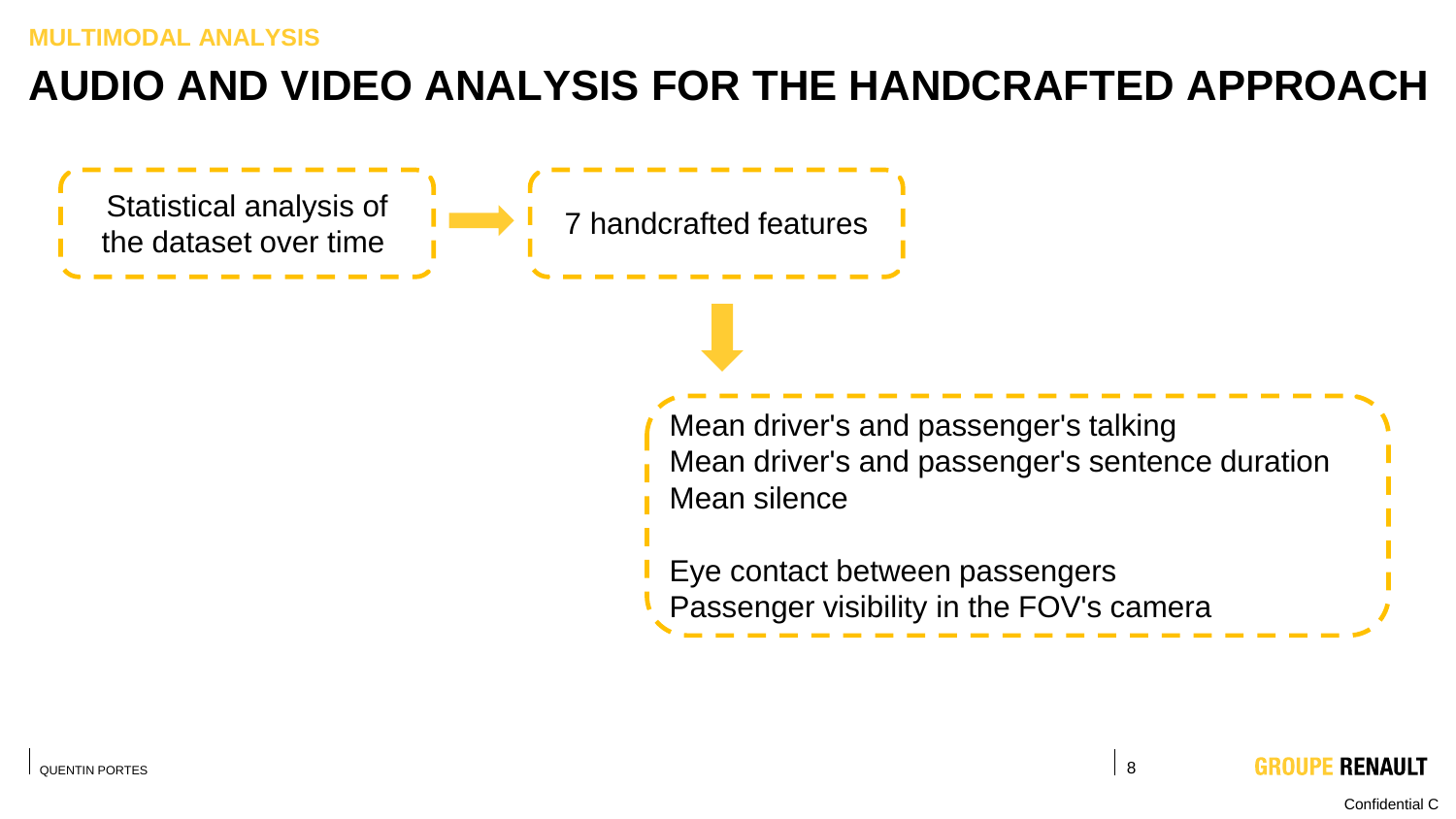### **AUDIO AND VIDEO ANALYSIS FOR THE HANDCRAFTED APPROACH**

Statistical analysis of the dataset over time

Mean driver's and passenger's talking Mean driver's and passenger's sentence duration Mean silence

- Eye contact between passengers
	- Passenger visibility in the FOV's camera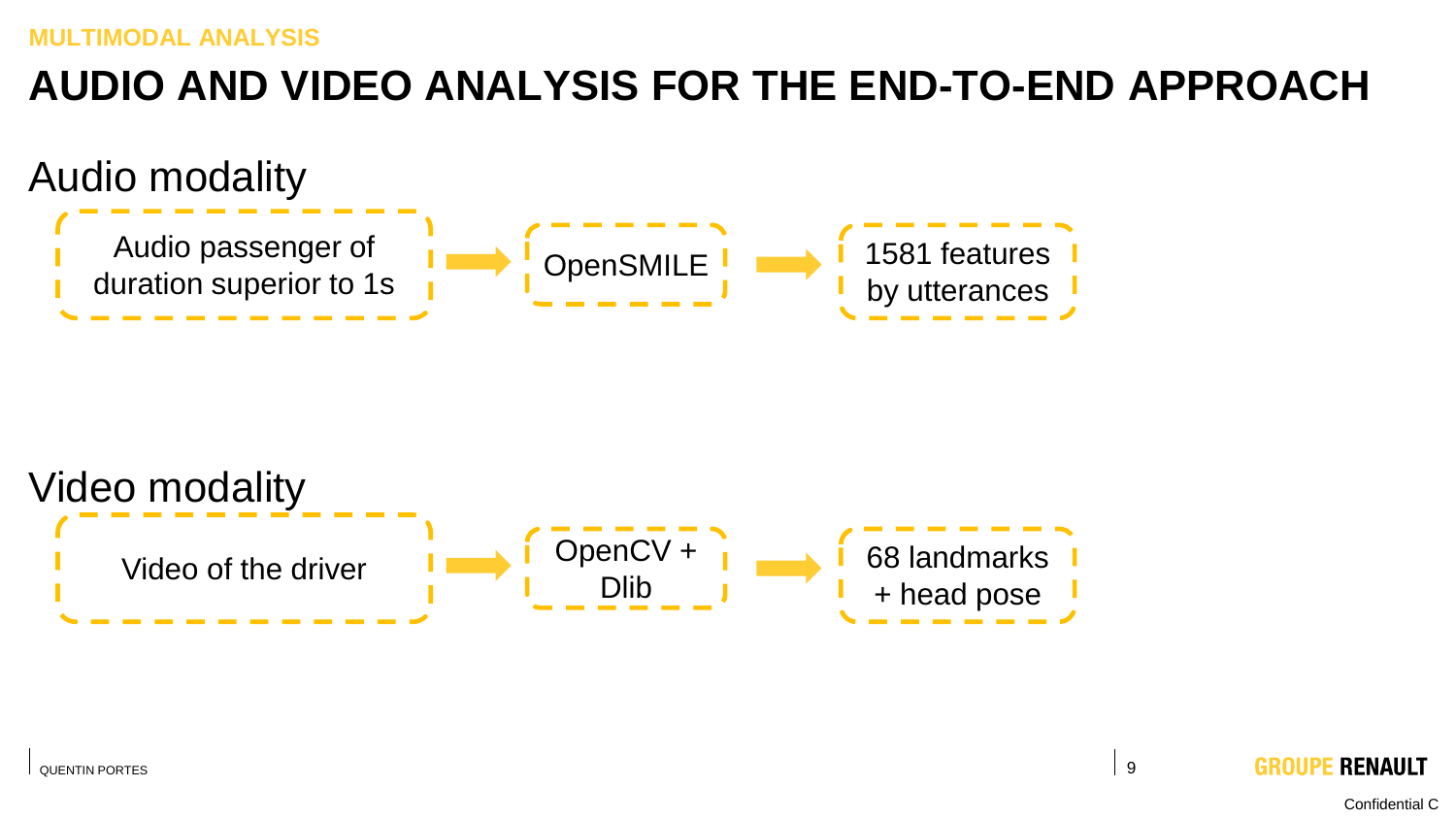# **AUDIO AND VIDEO ANALYSIS FOR THE END-TO-END APPROACH**





**RENAULT** GROUP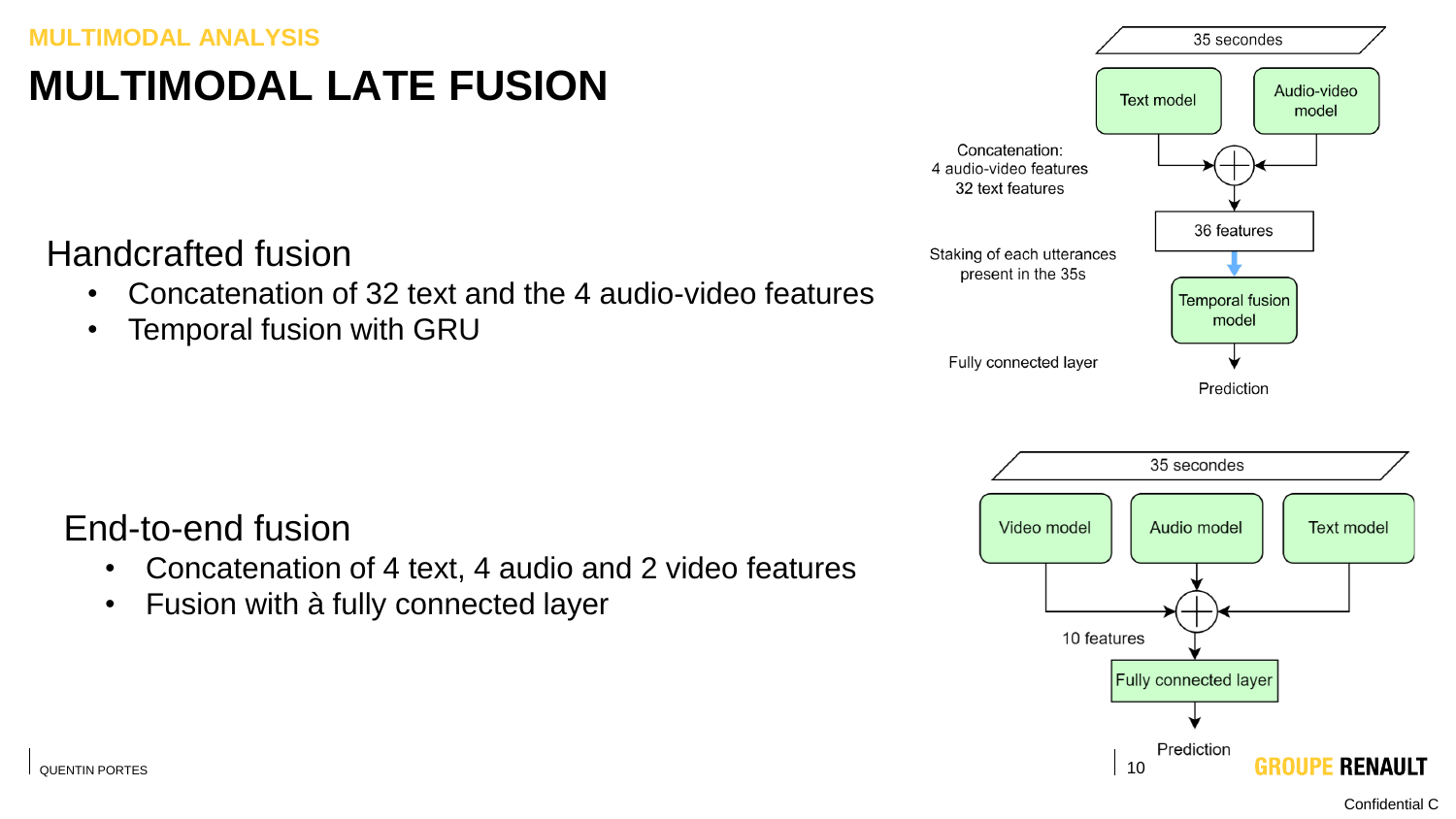#### **MULTIMODAL ANALYSIS**

# **MULTIMODAL LATE FUSION**

Handcrafted fusion

- Concatenation of 32 text and the 4 audio-video features
- Temporal fusion with GRU

#### End-to-end fusion

- Concatenation of 4 text, 4 audio and 2 video features
- Fusion with à fully connected layer



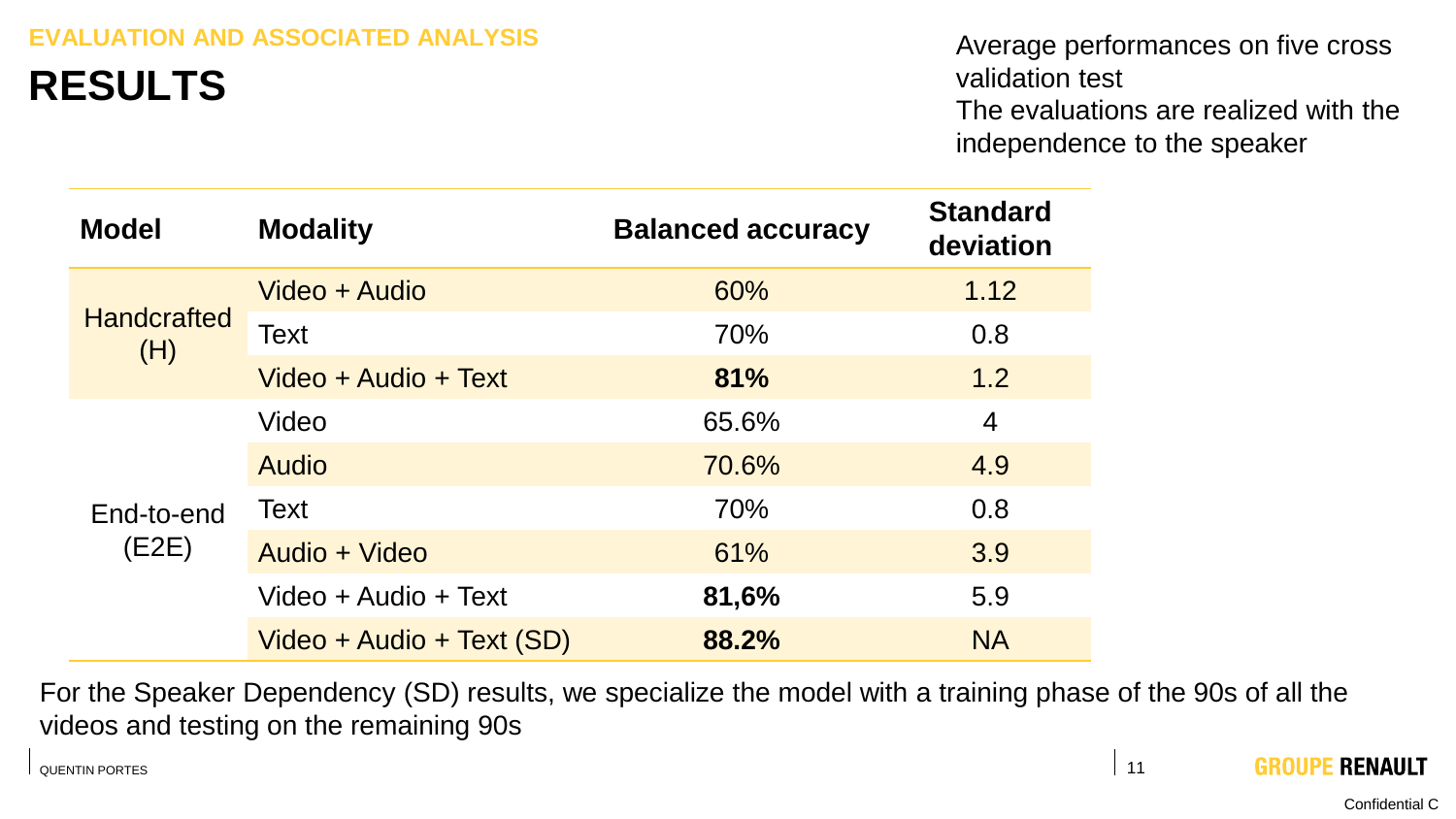#### **EVALUATION AND ASSOCIATED ANALYSIS**

### **RESULTS**

Average performances on five cross validation test The evaluations are realized with the independence to the speaker

| <b>Model</b>              | <b>Modality</b>           | <b>Balanced accuracy</b> | <b>Standard</b><br>deviation |
|---------------------------|---------------------------|--------------------------|------------------------------|
| <b>Handcrafted</b><br>(H) | Video + Audio             | 60%                      | 1.12                         |
|                           | Text                      | 70%                      | 0.8                          |
|                           | Video + Audio + Text      | 81%                      | 1.2                          |
| End-to-end<br>(E2E)       | Video                     | 65.6%                    | $\overline{4}$               |
|                           | Audio                     | 70.6%                    | 4.9                          |
|                           | Text                      | 70%                      | 0.8                          |
|                           | Audio + Video             | 61%                      | 3.9                          |
|                           | Video + Audio + Text      | 81,6%                    | 5.9                          |
|                           | Video + Audio + Text (SD) | 88.2%                    | <b>NA</b>                    |

For the Speaker Dependency (SD) results, we specialize the model with a training phase of the 90s of all the videos and testing on the remaining 90s

QUENTIN PORTES AND RESERVED AND RESERVED AND RESERVED AND RESERVED AND RESERVED AND RESERVED AND RESERVED AND RESERVED AND RESERVED AND RESERVED AND RESERVED AND RESERVED AND RESERVED AND RESERVED AND RESERVED AND RESERVED

**GROUPE RENAULT**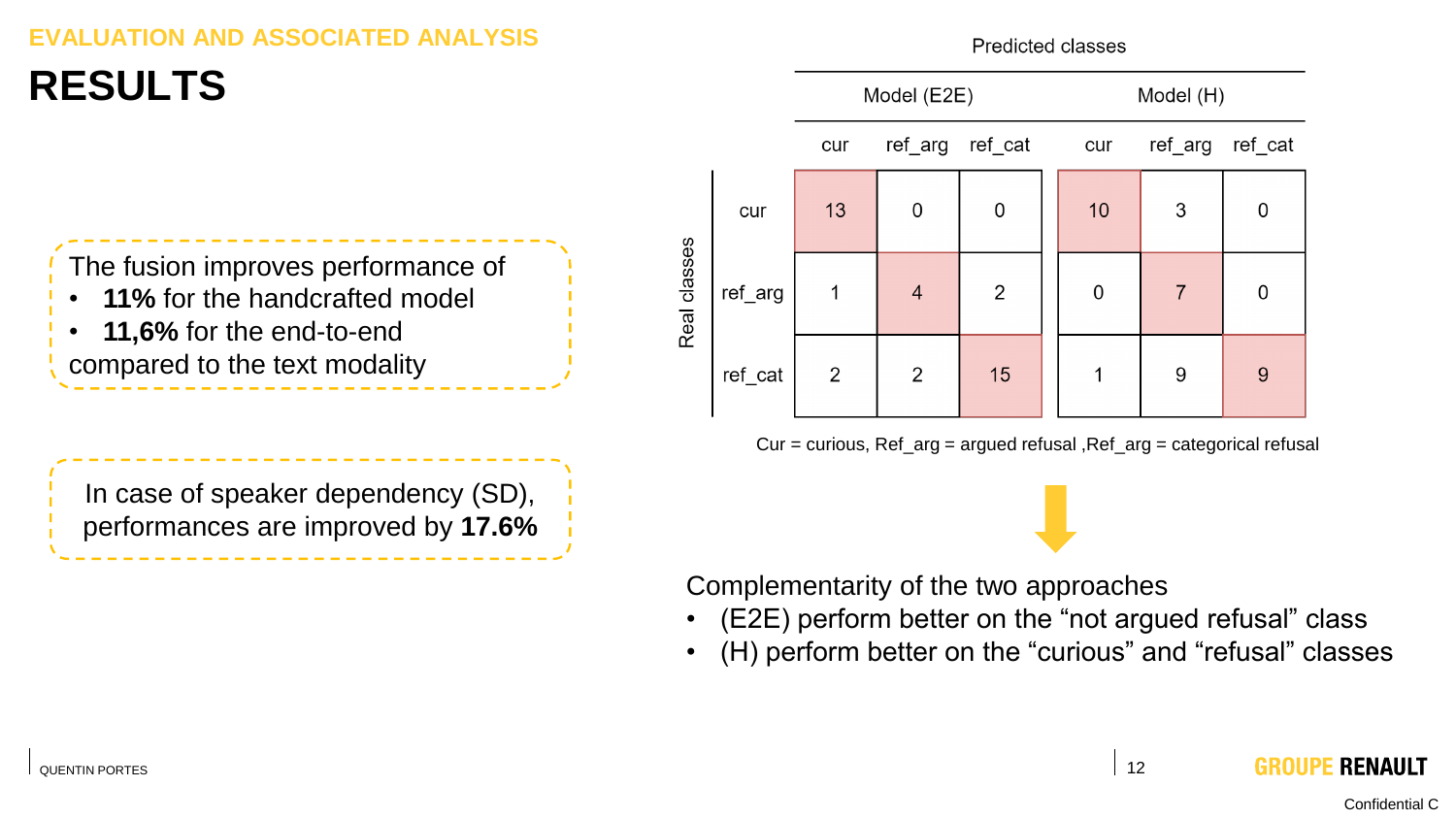#### **ION AND ASSOCIATED**

Predicted classes

### **RESULTS**

The fusion improves performance of • **11%** for the handcrafted model

• **11,6%** for the end-to-end compared to the text modality

Model (E2E) Model (H) ref cat ref arg ref cat ref arg cur cur  $10$ 3  $13$  $\Omega$  $\overline{0}$ cur  $\Omega$ Real classes  $\overline{2}$  $\overline{7}$ ref arg  $\overline{4}$  $\Omega$  $\Omega$ 1 15 ref cat 2 2 9  $9$ 

Cur = curious, Ref\_arg = argued refusal ,Ref\_arg = categorical refusal

In case of speaker dependency (SD), performances are improved by **17.6%**

Complementarity of the two approaches

- (E2E) perform better on the "not argued refusal" class
- (H) perform better on the "curious" and "refusal" classes

Confidential C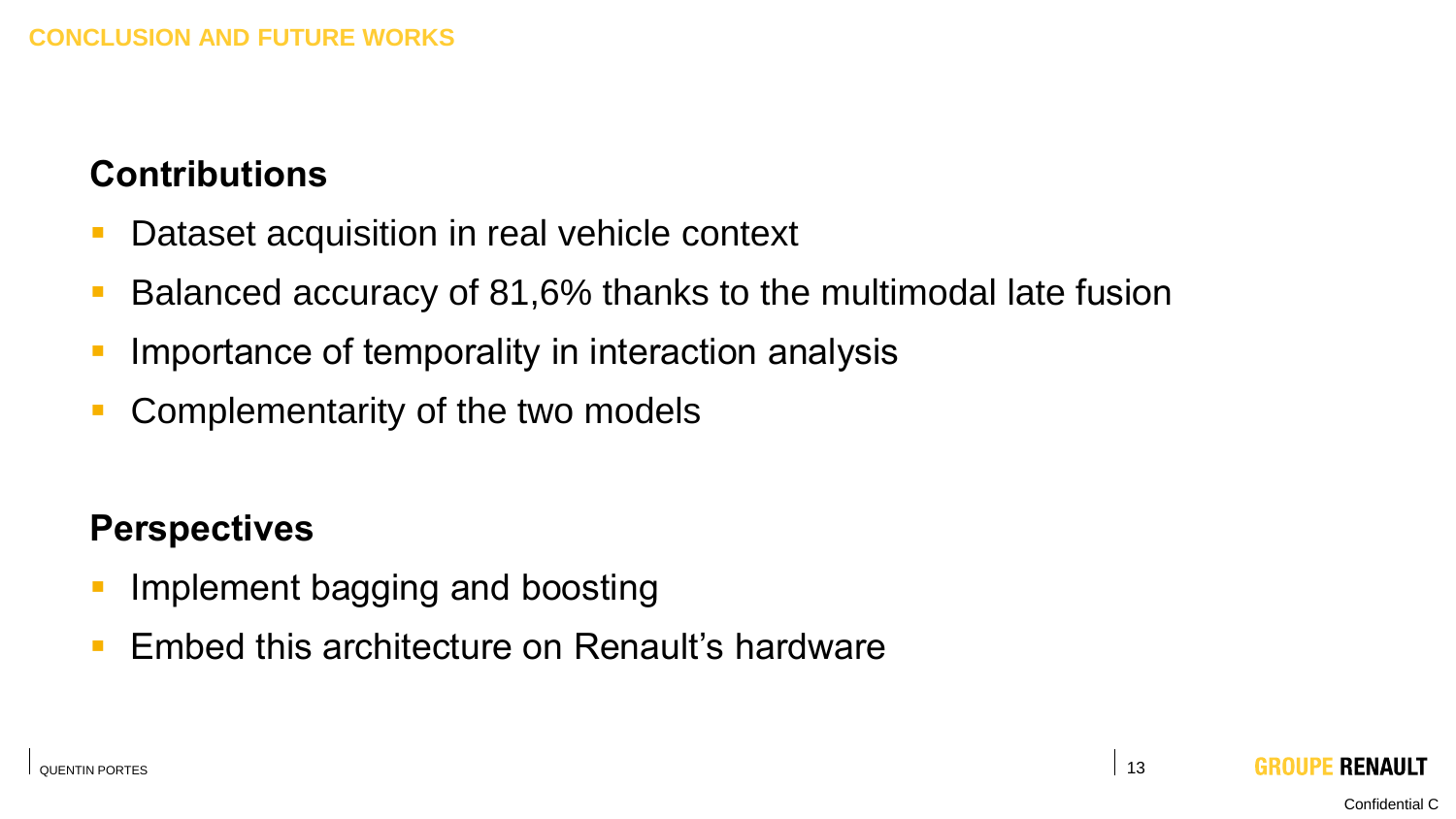### **Contributions**

- Dataset acquisition in real vehicle context
- Balanced accuracy of 81,6% thanks to the multimodal late fusion
- **Importance of temporality in interaction analysis**
- Complementarity of the two models

#### **Perspectives**

- **E** Implement bagging and boosting
- Embed this architecture on Renault's hardware